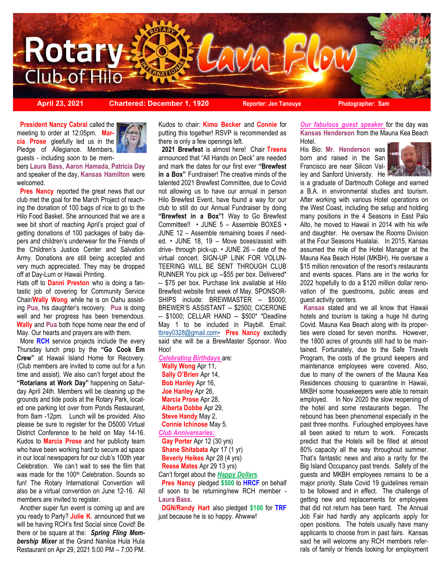

**April 23, 2021 Chartered: December 1, 1920 Reporter: Jen Tanouye** Chabral Photographer: Sam

**President Nancy Cabral called the** meeting to order at 12:05pm. **Marcia Prose** gleefully led us in the Pledge of Allegiance. Members, guests - including soon to be mem-



bers **Laura Bass**, **Aaron Hamada**, **Patricia Day**  and speaker of the day, **Kansas Hamilton** were welcomed.

 **Pres Nancy** reported the great news that our club met the goal for the March Project of reaching the donation of 100 bags of rice to go to the Hilo Food Basket. She announced that we are a wee bit short of reaching April's project goal of getting donations of 100 packages of baby diapers and children's underwear for the Friends of the Children's Justice Center and Salvation Army. Donations are still being accepted and very much appreciated. They may be dropped off at Day-Lum or Hawaii Printing.

Hats off to **Danni Preston** who is doing a fantastic job of covering for Community Service Chair/**Wally Wong** while he is on Oahu assisting **Pua**, his daughter's recovery. **Pua** is doing well and her progress has been tremendous. **Wally** and **Pua** both hope home near the end of May. Our hearts and prayers are with them.

 More **RCH** service projects include the every Thursday lunch prep by the **"Go Cook Em Crew"** at Hawaii Island Home for Recovery. (Club members are invited to come out for a fun time and assist). We also can't forget about the **"Rotarians at Work Day"** happening on Saturday April 24th. Members will be cleaning up the grounds and tide pools at the Rotary Park, located one parking lot over from Ponds Restaurant, from 8am -12pm. Lunch will be provided. Also please be sure to register for the D5000 Virtual District Conference to be held on May 14-16. Kudos to **Marcia Prose** and her publicity team who have been working hard to secure ad space in our local newspapers for our club's 100th year Celebration. We can't wait to see the film that was made for the 100<sup>th</sup> Celebration. Sounds so fun! The Rotary International Convention will also be a virtual convention on June 12-16. All members are invited to register.

 Another super fun event is coming up and are you ready to Party? **Julie K.** announced that we will be having RCH's first Social since Covid! Be there or be square at the: *[Spring Fling Mem](http://portal.clubrunner.ca/7804/Event/spring-fling-membership-mixer)[bership Mixer](http://portal.clubrunner.ca/7804/Event/spring-fling-membership-mixer)* at the Grand Naniloa Hula Hula Restaurant on Apr 29, 2021 5:00 PM – 7:00 PM.

Kudos to chair: **Kimo Becker** and **Connie** for putting this together! RSVP is recommended as there is only a few openings left.

 **2021 Brewfest** is almost here! Chair **Treena** announced that "All Hands on Deck" are needed and mark the dates for our first ever **"Brewfest in a Box"** Fundraiser! The creative minds of the talented 2021 Brewfest Committee, due to Covid not allowing us to have our annual in person Hilo Brewfest Event, have found a way for our club to still do our Annual Fundraiser by doing **"Brewfest in a Box"!** Way to Go Brewfest Committee!! • JUNE 5 – Assemble BOXES • JUNE 12 – Assemble remaining boxes if needed. • JUNE 18, 19 – Move boxes/assist with drive- through pick-up. • JUNE 26 – date of the virtual concert. SIGN-UP LINK FOR VOLUN-TEERING WILL BE SENT THROUGH CLUB RUNNER You pick up --\$55 per box. Delivered\* -- \$75 per box. Purchase link available at Hilo Brewfest website first week of May. SPONSOR-SHIPS include: BREWMASTER -- \$5000: BREWER'S ASSISTANT -- \$2500; CICERONE -- \$1000; CELLAR HAND -- \$500\* \*Deadline May 1 to be included in Playbill. Email: [tbrey0328@gmail.com•](mailto:tbrey0328@gmail.com•) **Pres Nancy** excitedly said she will be a BrewMaster Sponsor. Woo Hoo!

*Celebrating Birthdays* are:

 **Wally Wong** Apr 11,  **Sally O'Brien** Apr 14,  **Bob Hanley** Apr 16,  **Joe Hanley** Apr 26,  **Marcia Prose** Apr 28,  **Alberta Dobbe** Apr 29,  **Steve Handy** May 2,  **Connie Ichinose** May 5. *Club Anniversaries:*  **Gay Porter** Apr 12 (30 yrs)

 **Shane Shitabata** Apr 17 (1 yr)  **Beverly Heikes** Apr 28 (4 yrs)  **Reese Mates** Apr 29 13 yrs)

Can't forget about the *Happy Dollars*.

 **Pres Nancy** pledged **\$500** to **HRCF** on behalf of soon to be returning/new RCH member - **Laura Bass**.

 **DGN/Randy Hart** also pledged **\$100** for **TRF**  just because he is so happy. Ahwww!

*Our fabulous guest speaker* for the day was **Kansas Henderson** from the Mauna Kea Beach Hotel.

His Bio: **Mr. Henderson** was born and raised in the San Francisco are near Silicon Valley and Sanford University. He



is a graduate of Dartmouth College and earned a B.A. in environmental studies and tourism. After working with various Hotel operations on the West Coast, including the setup and holding many positions in the 4 Seasons in East Palo Alto, he moved to Hawaii in 2014 with his wife and daughter. He oversaw the Rooms Division at the Four Seasons Hualalai. In 2015, Kansas assumed the role of the Hotel Manager at the Mauna Kea Beach Hotel (MKBH). He oversaw a \$15 million renovation of the resort's restaurants and events spaces. Plans are in the works for 2022 hopefully to do a \$120 million dollar renovation of the guestrooms, public areas and guest activity centers.

 **Kansas** stated and we all know that Hawaii hotels and tourism is taking a huge hit during Covid. Mauna Kea Beach along with its properties were closed for seven months. However, the 1800 acres of grounds still had to be maintained. Fortunately, due to the Safe Travels Program, the costs of the ground keepers and maintenance employees were covered. Also, due to many of the owners of the Mauna Kea Residences choosing to quarantine in Hawaii, MKBH some housekeepers were able to remain employed. In Nov 2020 the slow reopening of the hotel and some restaurants began. The rebound has been phenomenal especially in the past three months. Furloughed employees have all been asked to return to work. Forecasts predict that the Hotels will be filled at almost 80% capacity all the way throughout summer. That's fantastic news and also a rarity for the Big Island Occupancy past trends. Safety of the guests and MKBH employees remains to be a major priority. State Covid 19 guidelines remain to be followed and in effect. The challenge of getting new and replacements for employees that did not return has been hard. The Annual Job Fair had hardly any applicants apply for open positions. The hotels usually have many applicants to choose from in past fairs. Kansas said he will welcome any RCH members referrals of family or friends looking for employment